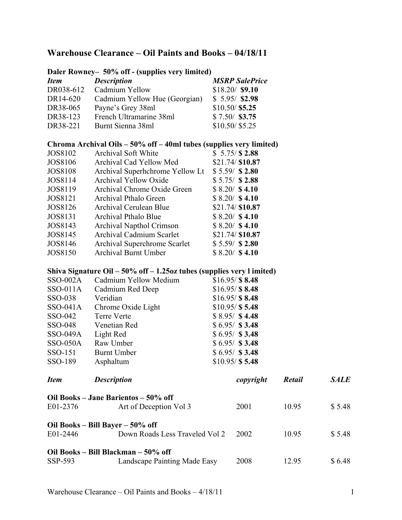|                                  | Daler Rowney- 50% off - (supplies very limited)                          |                  |                       |        |             |
|----------------------------------|--------------------------------------------------------------------------|------------------|-----------------------|--------|-------------|
| <b>Item</b>                      | <b>Description</b>                                                       |                  | <b>MSRP</b> SalePrice |        |             |
| DR038-612                        | Cadmium Yellow                                                           |                  | $$18.20/$ \$9.10      |        |             |
| DR14-620                         | Cadmium Yellow Hue (Georgian)                                            |                  | $$5.95/$ \$2.98       |        |             |
| DR38-065                         | Payne's Grey 38ml                                                        | $$10.50/$ \$5.25 |                       |        |             |
| DR38-123                         | French Ultramarine 38ml                                                  | $$7.50/$ \$3.75  |                       |        |             |
| DR38-221                         | Burnt Sienna 38ml                                                        | \$10.50/\$5.25   |                       |        |             |
|                                  | Chroma Archival Oils – 50% off – 40ml tubes (supplies very limited)      |                  |                       |        |             |
| <b>JOS8102</b>                   | Archival Soft White                                                      |                  | \$5.75/S2.88          |        |             |
| JOS8106                          | Archival Cad Yellow Med                                                  |                  | \$21.74/\$10.87       |        |             |
| <b>JOS8108</b>                   | Archival Superhchrome Yellow Lt                                          |                  | $$5.59/$ \$2.80       |        |             |
| JOS8114                          | Archival Yellow Oxide                                                    |                  | $$5.75/$ \$2.88       |        |             |
| JOS8119                          | Archival Chrome Oxide Green                                              |                  | $$8.20/$ \$4.10       |        |             |
| JOS8121                          | Archival Pthalo Green                                                    |                  | $$8.20/$ \$4.10       |        |             |
| JOS8126                          | Archival Cerulean Blue                                                   |                  | \$21.74/\$10.87       |        |             |
| <b>JOS8131</b>                   | Archival Pthalo Blue                                                     |                  | $$8.20/$ \$4.10       |        |             |
| JOS8143                          | Archival Napthol Crimson                                                 |                  | $$8.20/$ \$4.10       |        |             |
| JOS8145                          | <b>Archival Cadmium Scarlet</b>                                          |                  | \$21.74/ \$10.87      |        |             |
| JOS8146                          | Archival Superchrome Scarlet                                             |                  | $$5.59/$ \$2.80       |        |             |
| <b>JOS8150</b>                   | <b>Archival Burnt Umber</b>                                              |                  | $$8.20/$ \$4.10       |        |             |
|                                  | Shiva Signature Oil $-50\%$ off $-1.25oz$ tubes (supplies very l imited) |                  |                       |        |             |
| <b>SSO-002A</b>                  | Cadmium Yellow Medium                                                    |                  | $$16.95/\$8.48$       |        |             |
| SSO-011A                         | Cadmium Red Deep                                                         |                  | $$16.95/\$8.48$       |        |             |
| SSO-038                          | Veridian                                                                 |                  | \$16.95/S8.48         |        |             |
| SSO-041A                         | Chrome Oxide Light                                                       |                  | $$10.95/\$$ 5.48      |        |             |
| SSO-042                          | <b>Terre Verte</b>                                                       |                  | $$8.95/$ \$4.48       |        |             |
| SSO-048                          | Venetian Red                                                             |                  | $$6.95/$ \$3.48       |        |             |
| <b>SSO-049A</b>                  | Light Red                                                                |                  | $$6.95/$ \$3.48       |        |             |
| <b>SSO-050A</b>                  | Raw Umber                                                                |                  | $$6.95/$ \$3.48       |        |             |
| SSO-151                          | <b>Burnt Umber</b>                                                       |                  | $$6.95/$ \$3.48       |        |             |
| SSO-189                          | Asphaltum                                                                |                  | $$10.95/\$$ 5.48      |        |             |
| <b>Item</b>                      | <b>Description</b>                                                       |                  | copyright             | Retail | <b>SALE</b> |
|                                  | Oil Books – Jane Barientos – 50% off                                     |                  |                       |        |             |
| E01-2376                         | Art of Deception Vol 3                                                   |                  | 2001                  | 10.95  | \$5.48      |
| Oil Books – Bill Bayer – 50% off |                                                                          |                  |                       |        |             |
| E01-2446                         | Down Roads Less Traveled Vol 2                                           |                  | 2002                  | 10.95  | \$5.48      |
|                                  | Oil Books – Bill Blackman – 50% off                                      |                  |                       |        |             |
| SSP-593                          | Landscape Painting Made Easy                                             |                  | 2008                  | 12.95  | \$6.48      |

## **Warehouse Clearance – Oil Paints and Books – 04/18/11**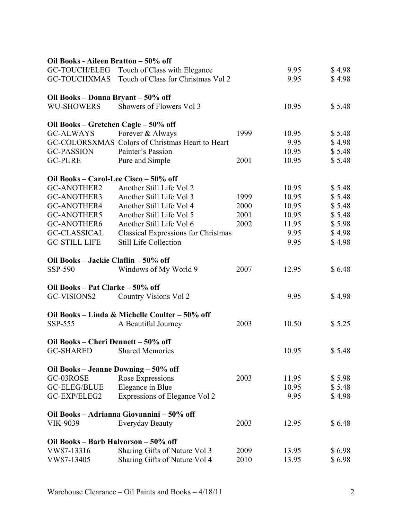| Oil Books - Aileen Bratton - 50% off  |                                                  |      |       |        |
|---------------------------------------|--------------------------------------------------|------|-------|--------|
| GC-TOUCH/ELEG                         | Touch of Class with Elegance                     |      | 9.95  | \$4.98 |
|                                       | GC-TOUCHXMAS Touch of Class for Christmas Vol 2  |      | 9.95  | \$4.98 |
| Oil Books - Donna Bryant - 50% off    |                                                  |      |       |        |
| <b>WU-SHOWERS</b>                     | Showers of Flowers Vol 3                         |      | 10.95 | \$5.48 |
| Oil Books – Gretchen Cagle – 50% off  |                                                  |      |       |        |
| <b>GC-ALWAYS</b>                      | Forever & Always                                 | 1999 | 10.95 | \$5.48 |
|                                       | GC-COLORSXMAS Colors of Christmas Heart to Heart |      | 9.95  | \$4.98 |
| <b>GC-PASSION</b>                     | Painter's Passion                                |      | 10.95 | \$5.48 |
| <b>GC-PURE</b>                        | Pure and Simple                                  | 2001 | 10.95 | \$5.48 |
| Oil Books – Carol-Lee Cisco – 50% off |                                                  |      |       |        |
| <b>GC-ANOTHER2</b>                    | Another Still Life Vol 2                         |      | 10.95 | \$5.48 |
| <b>GC-ANOTHER3</b>                    | Another Still Life Vol 3                         | 1999 | 10.95 | \$5.48 |
| <b>GC-ANOTHER4</b>                    | Another Still Life Vol 4                         | 2000 | 10.95 | \$5.48 |
| <b>GC-ANOTHER5</b>                    | Another Still Life Vol 5                         | 2001 | 10.95 | \$5.48 |
| <b>GC-ANOTHER6</b>                    | Another Still Life Vol 6                         | 2002 | 11.95 | \$5.98 |
| <b>GC-CLASSICAL</b>                   | <b>Classical Expressions for Christmas</b>       |      | 9.95  | \$4.98 |
| <b>GC-STILL LIFE</b>                  | <b>Still Life Collection</b>                     |      | 9.95  | \$4.98 |
| Oil Books - Jackie Claflin - 50% off  |                                                  |      |       |        |
| SSP-590                               | Windows of My World 9                            | 2007 | 12.95 | \$6.48 |
| Oil Books – Pat Clarke – 50% off      |                                                  |      |       |        |
| GC-VISIONS2                           | Country Visions Vol 2                            |      | 9.95  | \$4.98 |
|                                       | Oil Books - Linda & Michelle Coulter - 50% off   |      |       |        |
| SSP-555                               | A Beautiful Journey                              | 2003 | 10.50 | \$5.25 |
| Oil Books - Cheri Dennett - 50% off   |                                                  |      |       |        |
| GC-SHARED Shared Memories             |                                                  |      | 10.95 | \$5.48 |
| Oil Books – Jeanne Downing – 50% off  |                                                  |      |       |        |
| GC-03ROSE                             | Rose Expressions                                 | 2003 | 11.95 | \$5.98 |
| <b>GC-ELEG/BLUE</b>                   | Elegance in Blue                                 |      | 10.95 | \$5.48 |
| GC-EXP/ELEG2                          | Expressions of Elegance Vol 2                    |      | 9.95  | \$4.98 |
|                                       | Oil Books - Adrianna Giovannini - 50% off        |      |       |        |
| VIK-9039                              | <b>Everyday Beauty</b>                           | 2003 | 12.95 | \$6.48 |
| Oil Books - Barb Halvorson - 50% off  |                                                  |      |       |        |
| VW87-13316                            | Sharing Gifts of Nature Vol 3                    | 2009 | 13.95 | \$6.98 |
| VW87-13405                            | Sharing Gifts of Nature Vol 4                    | 2010 | 13.95 | \$6.98 |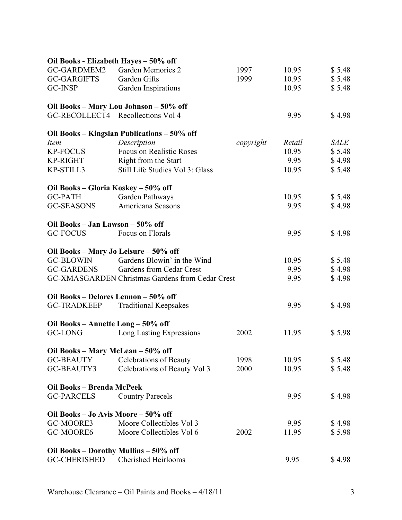| Oil Books - Elizabeth Hayes - 50% off |                                                  |           |        |             |
|---------------------------------------|--------------------------------------------------|-----------|--------|-------------|
| GC-GARDMEM2                           | Garden Memories 2                                | 1997      | 10.95  | \$5.48      |
| <b>GC-GARGIFTS</b>                    | Garden Gifts                                     | 1999      | 10.95  | \$5.48      |
| <b>GC-INSP</b>                        | Garden Inspirations                              |           | 10.95  | \$5.48      |
|                                       | Oil Books - Mary Lou Johnson - 50% off           |           |        |             |
|                                       | GC-RECOLLECT4 Recollections Vol 4                |           | 9.95   | \$4.98      |
|                                       | Oil Books – Kingslan Publications – 50% off      |           |        |             |
| <i>Item</i>                           | Description                                      | copyright | Retail | <i>SALE</i> |
| <b>KP-FOCUS</b>                       | <b>Focus on Realistic Roses</b>                  |           | 10.95  | \$5.48      |
| <b>KP-RIGHT</b>                       | Right from the Start                             |           | 9.95   | \$4.98      |
| KP-STILL3                             | Still Life Studies Vol 3: Glass                  |           | 10.95  | \$5.48      |
| Oil Books - Gloria Koskey - 50% off   |                                                  |           |        |             |
| <b>GC-PATH</b>                        | Garden Pathways                                  |           | 10.95  | \$5.48      |
| <b>GC-SEASONS</b>                     | Americana Seasons                                |           | 9.95   | \$4.98      |
| Oil Books - Jan Lawson - 50% off      |                                                  |           |        |             |
| <b>GC-FOCUS</b>                       | Focus on Florals                                 |           | 9.95   | \$4.98      |
| Oil Books - Mary Jo Leisure - 50% off |                                                  |           |        |             |
| <b>GC-BLOWIN</b>                      | Gardens Blowin' in the Wind                      |           | 10.95  | \$5.48      |
| <b>GC-GARDENS</b>                     | Gardens from Cedar Crest                         |           | 9.95   | \$4.98      |
|                                       | GC-XMASGARDEN Christmas Gardens from Cedar Crest |           | 9.95   | \$4.98      |
| Oil Books - Delores Lennon - 50% off  |                                                  |           |        |             |
| <b>GC-TRADKEEP</b>                    | <b>Traditional Keepsakes</b>                     |           | 9.95   | \$4.98      |
| Oil Books - Annette Long - 50% off    |                                                  |           |        |             |
| <b>GC-LONG</b>                        | Long Lasting Expressions                         | 2002      | 11.95  | \$5.98      |
| Oil Books - Mary McLean - 50% off     |                                                  |           |        |             |
| <b>GC-BEAUTY</b>                      | <b>Celebrations of Beauty</b>                    | 1998      | 10.95  | \$5.48      |
| GC-BEAUTY3                            | Celebrations of Beauty Vol 3                     | 2000      | 10.95  | \$5.48      |
| Oil Books - Brenda McPeek             |                                                  |           |        |             |
| <b>GC-PARCELS</b>                     | <b>Country Parecels</b>                          |           | 9.95   | \$4.98      |
| Oil Books - Jo Avis Moore - 50% off   |                                                  |           |        |             |
| GC-MOORE3                             | Moore Collectibles Vol 3                         |           | 9.95   | \$4.98      |
| GC-MOORE6                             | Moore Collectibles Vol 6                         | 2002      | 11.95  | \$5.98      |
| Oil Books – Dorothy Mullins – 50% off |                                                  |           |        |             |
| <b>GC-CHERISHED</b>                   | <b>Cherished Heirlooms</b>                       |           | 9.95   | \$4.98      |